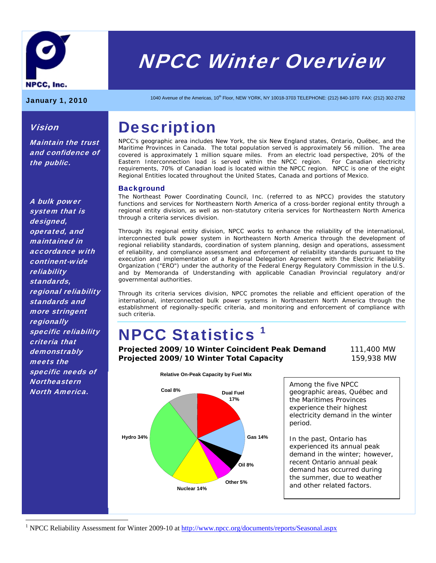

# NPCC Winter Overview

Maintain the trust and confidence of

Vision

the public.

January 1, 2010 1040 Avenue of the Americas, 10<sup>th</sup> Floor, NEW YORK, NY 10018-3703 TELEPHONE: (212) 840-1070 FAX: (212) 302-2782

# **Description**

NPCC's geographic area includes New York, the six New England states, Ontario, Québec, and the Maritime Provinces in Canada. The total population served is approximately 56 million. The area covered is approximately 1 million square miles. From an electric load perspective, 20% of the Eastern Interconnection load is served within the NPCC region. For Canadian electricity requirements, 70% of Canadian load is located within the NPCC region. NPCC is one of the eight Regional Entities located throughout the United States, Canada and portions of Mexico.

#### **Background**

The Northeast Power Coordinating Council, Inc. (referred to as NPCC) provides the statutory functions and services for Northeastern North America of a cross-border regional entity through a regional entity division, as well as non-statutory criteria services for Northeastern North America through a criteria services division.

Through its regional entity division, NPCC works to enhance the reliability of the international, interconnected bulk power system in Northeastern North America through the development of regional reliability standards, coordination of system planning, design and operations, assessment of reliability, and compliance assessment and enforcement of reliability standards pursuant to the execution and implementation of a Regional Delegation Agreement with the Electric Reliability Organization ("ERO") under the authority of the Federal Energy Regulatory Commission in the U.S. and by Memoranda of Understanding with applicable Canadian Provincial regulatory and/or governmental authorities.

Through its criteria services division, NPCC promotes the reliable and efficient operation of the international, interconnected bulk power systems in Northeastern North America through the establishment of regionally-specific criteria, and monitoring and enforcement of compliance with such criteria.

# NPCC Statistics 1

**Projected 2009/10 Winter Coincident Peak Demand** 111,400 MW **Projected 2009/10 Winter Total Capacity** 159,938 MW



Among the five NPCC geographic areas, Québec and the Maritimes Provinces experience their highest electricity demand in the winter period.

In the past, Ontario has experienced its annual peak demand in the winter; however, recent Ontario annual peak demand has occurred during the summer, due to weather and other related factors.

A bulk power system that is designed, operated, and maintained in accordance with continent-wide reliability standards, regional reliability standards and more stringent **regionally** specific reliability criteria that demonstrably meets the specific needs of **Northeastern** North America.

 $\overline{a}$